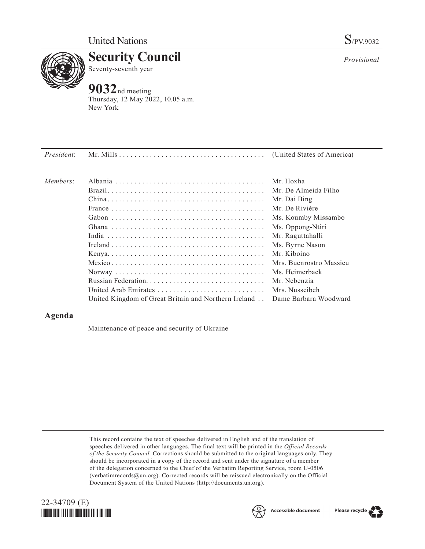

**Security Council** Seventy-seventh year

## **9032**nd meeting

Thursday, 12 May 2022, 10.05 a.m. New York

| President: |                                                      |                         |
|------------|------------------------------------------------------|-------------------------|
| Members:   |                                                      | Mr. Hoxha               |
|            |                                                      | Mr. De Almeida Filho    |
|            |                                                      | Mr. Dai Bing            |
|            |                                                      | Mr. De Rivière          |
|            |                                                      | Ms. Koumby Missambo     |
|            |                                                      | Ms. Oppong-Ntiri        |
|            |                                                      | Mr. Raguttahalli        |
|            |                                                      | Ms. Byrne Nason         |
|            |                                                      | Mr. Kiboino             |
|            |                                                      | Mrs. Buenrostro Massieu |
|            |                                                      | Ms. Heimerback          |
|            |                                                      | Mr. Nebenzia            |
|            | United Arab Emirates                                 | Mrs. Nusseibeh          |
|            | United Kingdom of Great Britain and Northern Ireland | Dame Barbara Woodward   |

## **Agenda**

Maintenance of peace and security of Ukraine

This record contains the text of speeches delivered in English and of the translation of speeches delivered in other languages. The final text will be printed in the *Official Records of the Security Council.* Corrections should be submitted to the original languages only. They should be incorporated in a copy of the record and sent under the signature of a member of the delegation concerned to the Chief of the Verbatim Reporting Service, room U-0506 (verbatimrecords@un.org). Corrected records will be reissued electronically on the Official Document System of the United Nations (http://documents.un.org).







*Provisional*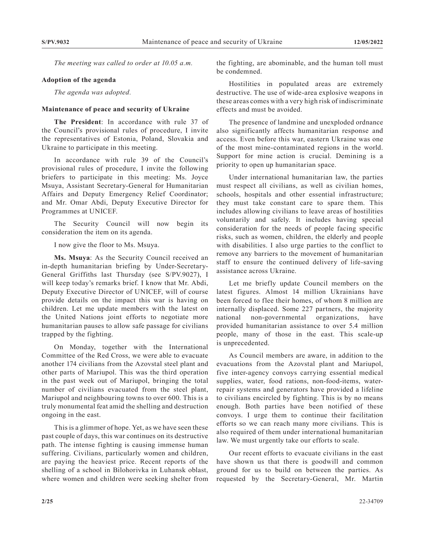*The meeting was called to order at 10.05 a.m.*

## **Adoption of the agenda**

*The agenda was adopted.*

## **Maintenance of peace and security of Ukraine**

**The President**: In accordance with rule 37 of the Council's provisional rules of procedure, I invite the representatives of Estonia, Poland, Slovakia and Ukraine to participate in this meeting.

In accordance with rule 39 of the Council's provisional rules of procedure, I invite the following briefers to participate in this meeting: Ms. Joyce Msuya, Assistant Secretary-General for Humanitarian Affairs and Deputy Emergency Relief Coordinator; and Mr. Omar Abdi, Deputy Executive Director for Programmes at UNICEF.

The Security Council will now begin its consideration the item on its agenda.

I now give the floor to Ms. Msuya.

**Ms. Msuya**: As the Security Council received an in-depth humanitarian briefing by Under-Secretary-General Griffiths last Thursday (see S/PV.9027), I will keep today's remarks brief. I know that Mr. Abdi, Deputy Executive Director of UNICEF, will of course provide details on the impact this war is having on children. Let me update members with the latest on the United Nations joint efforts to negotiate more humanitarian pauses to allow safe passage for civilians trapped by the fighting.

On Monday, together with the International Committee of the Red Cross, we were able to evacuate another 174 civilians from the Azovstal steel plant and other parts of Mariupol. This was the third operation in the past week out of Mariupol, bringing the total number of civilians evacuated from the steel plant, Mariupol and neighbouring towns to over 600. This is a truly monumental feat amid the shelling and destruction ongoing in the east.

This is a glimmer of hope. Yet, as we have seen these past couple of days, this war continues on its destructive path. The intense fighting is causing immense human suffering. Civilians, particularly women and children, are paying the heaviest price. Recent reports of the shelling of a school in Bilohorivka in Luhansk oblast, where women and children were seeking shelter from the fighting, are abominable, and the human toll must be condemned.

Hostilities in populated areas are extremely destructive. The use of wide-area explosive weapons in these areas comes with a very high risk of indiscriminate effects and must be avoided.

The presence of landmine and unexploded ordnance also significantly affects humanitarian response and access. Even before this war, eastern Ukraine was one of the most mine-contaminated regions in the world. Support for mine action is crucial. Demining is a priority to open up humanitarian space.

Under international humanitarian law, the parties must respect all civilians, as well as civilian homes, schools, hospitals and other essential infrastructure; they must take constant care to spare them. This includes allowing civilians to leave areas of hostilities voluntarily and safely. It includes having special consideration for the needs of people facing specific risks, such as women, children, the elderly and people with disabilities. I also urge parties to the conflict to remove any barriers to the movement of humanitarian staff to ensure the continued delivery of life-saving assistance across Ukraine.

Let me briefly update Council members on the latest figures. Almost 14 million Ukrainians have been forced to flee their homes, of whom 8 million are internally displaced. Some 227 partners, the majority national non-governmental organizations, have provided humanitarian assistance to over 5.4 million people, many of those in the east. This scale-up is unprecedented.

As Council members are aware, in addition to the evacuations from the Azovstal plant and Mariupol, five inter-agency convoys carrying essential medical supplies, water, food rations, non-food-items, waterrepair systems and generators have provided a lifeline to civilians encircled by fighting. This is by no means enough. Both parties have been notified of these convoys. I urge them to continue their facilitation efforts so we can reach many more civilians. This is also required of them under international humanitarian law. We must urgently take our efforts to scale.

Our recent efforts to evacuate civilians in the east have shown us that there is goodwill and common ground for us to build on between the parties. As requested by the Secretary-General, Mr. Martin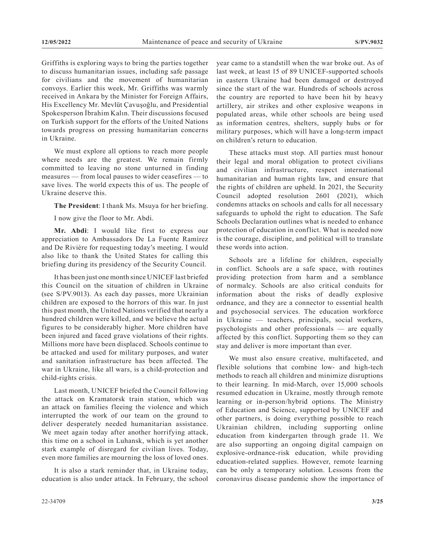Griffiths is exploring ways to bring the parties together to discuss humanitarian issues, including safe passage for civilians and the movement of humanitarian convoys. Earlier this week, Mr. Griffiths was warmly received in Ankara by the Minister for Foreign Affairs, His Excellency Mr. Mevlüt Çavuşoğlu, and Presidential Spokesperson İbrahim Kalın. Their discussions focused on Turkish support for the efforts of the United Nations towards progress on pressing humanitarian concerns in Ukraine.

We must explore all options to reach more people where needs are the greatest. We remain firmly committed to leaving no stone unturned in finding measures — from local pauses to wider ceasefires — to save lives. The world expects this of us. The people of Ukraine deserve this.

**The President**: I thank Ms. Msuya for her briefing.

I now give the floor to Mr. Abdi.

**Mr. Abdi**: I would like first to express our appreciation to Ambassadors De La Fuente Ramírez and De Rivière for requesting today's meeting. I would also like to thank the United States for calling this briefing during its presidency of the Security Council.

It has been just one month since UNICEF last briefed this Council on the situation of children in Ukraine (see S/PV.9013). As each day passes, more Ukrainian children are exposed to the horrors of this war. In just this past month, the United Nations verified that nearly a hundred children were killed, and we believe the actual figures to be considerably higher. More children have been injured and faced grave violations of their rights. Millions more have been displaced. Schools continue to be attacked and used for military purposes, and water and sanitation infrastructure has been affected. The war in Ukraine, like all wars, is a child-protection and child-rights crisis.

Last month, UNICEF briefed the Council following the attack on Kramatorsk train station, which was an attack on families fleeing the violence and which interrupted the work of our team on the ground to deliver desperately needed humanitarian assistance. We meet again today after another horrifying attack, this time on a school in Luhansk, which is yet another stark example of disregard for civilian lives. Today, even more families are mourning the loss of loved ones.

It is also a stark reminder that, in Ukraine today, education is also under attack. In February, the school year came to a standstill when the war broke out. As of last week, at least 15 of 89 UNICEF-supported schools in eastern Ukraine had been damaged or destroyed since the start of the war. Hundreds of schools across the country are reported to have been hit by heavy artillery, air strikes and other explosive weapons in populated areas, while other schools are being used as information centres, shelters, supply hubs or for military purposes, which will have a long-term impact on children's return to education.

These attacks must stop. All parties must honour their legal and moral obligation to protect civilians and civilian infrastructure, respect international humanitarian and human rights law, and ensure that the rights of children are upheld. In 2021, the Security Council adopted resolution 2601 (2021), which condemns attacks on schools and calls for all necessary safeguards to uphold the right to education. The Safe Schools Declaration outlines what is needed to enhance protection of education in conflict. What is needed now is the courage, discipline, and political will to translate these words into action.

Schools are a lifeline for children, especially in conflict. Schools are a safe space, with routines providing protection from harm and a semblance of normalcy. Schools are also critical conduits for information about the risks of deadly explosive ordnance, and they are a connector to essential health and psychosocial services. The education workforce in Ukraine — teachers, principals, social workers, psychologists and other professionals — are equally affected by this conflict. Supporting them so they can stay and deliver is more important than ever.

We must also ensure creative, multifaceted, and flexible solutions that combine low- and high-tech methods to reach all children and minimize disruptions to their learning. In mid-March, over 15,000 schools resumed education in Ukraine, mostly through remote learning or in-person/hybrid options. The Ministry of Education and Science, supported by UNICEF and other partners, is doing everything possible to reach Ukrainian children, including supporting online education from kindergarten through grade 11. We are also supporting an ongoing digital campaign on explosive-ordnance-risk education, while providing education-related supplies. However, remote learning can be only a temporary solution. Lessons from the coronavirus disease pandemic show the importance of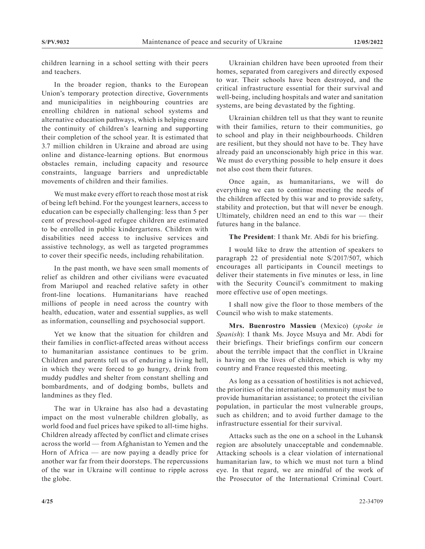children learning in a school setting with their peers and teachers.

In the broader region, thanks to the European Union's temporary protection directive, Governments and municipalities in neighbouring countries are enrolling children in national school systems and alternative education pathways, which is helping ensure the continuity of children's learning and supporting their completion of the school year. It is estimated that 3.7 million children in Ukraine and abroad are using online and distance-learning options. But enormous obstacles remain, including capacity and resource constraints, language barriers and unpredictable movements of children and their families.

We must make every effort to reach those most at risk of being left behind. For the youngest learners, access to education can be especially challenging: less than 5 per cent of preschool-aged refugee children are estimated to be enrolled in public kindergartens. Children with disabilities need access to inclusive services and assistive technology, as well as targeted programmes to cover their specific needs, including rehabilitation.

In the past month, we have seen small moments of relief as children and other civilians were evacuated from Mariupol and reached relative safety in other front-line locations. Humanitarians have reached millions of people in need across the country with health, education, water and essential supplies, as well as information, counselling and psychosocial support.

Yet we know that the situation for children and their families in conflict-affected areas without access to humanitarian assistance continues to be grim. Children and parents tell us of enduring a living hell, in which they were forced to go hungry, drink from muddy puddles and shelter from constant shelling and bombardments, and of dodging bombs, bullets and landmines as they fled.

The war in Ukraine has also had a devastating impact on the most vulnerable children globally, as world food and fuel prices have spiked to all-time highs. Children already affected by conflict and climate crises across the world — from Afghanistan to Yemen and the Horn of Africa — are now paying a deadly price for another war far from their doorsteps. The repercussions of the war in Ukraine will continue to ripple across the globe.

Ukrainian children have been uprooted from their homes, separated from caregivers and directly exposed to war. Their schools have been destroyed, and the critical infrastructure essential for their survival and well-being, including hospitals and water and sanitation systems, are being devastated by the fighting.

Ukrainian children tell us that they want to reunite with their families, return to their communities, go to school and play in their neighbourhoods. Children are resilient, but they should not have to be. They have already paid an unconscionably high price in this war. We must do everything possible to help ensure it does not also cost them their futures.

Once again, as humanitarians, we will do everything we can to continue meeting the needs of the children affected by this war and to provide safety, stability and protection, but that will never be enough. Ultimately, children need an end to this war — their futures hang in the balance.

**The President**: I thank Mr. Abdi for his briefing.

I would like to draw the attention of speakers to paragraph 22 of presidential note S/2017/507, which encourages all participants in Council meetings to deliver their statements in five minutes or less, in line with the Security Council's commitment to making more effective use of open meetings.

I shall now give the floor to those members of the Council who wish to make statements.

**Mrs. Buenrostro Massieu** (Mexico) (*spoke in Spanish*): I thank Ms. Joyce Msuya and Mr. Abdi for their briefings. Their briefings confirm our concern about the terrible impact that the conflict in Ukraine is having on the lives of children, which is why my country and France requested this meeting.

As long as a cessation of hostilities is not achieved, the priorities of the international community must be to provide humanitarian assistance; to protect the civilian population, in particular the most vulnerable groups, such as children; and to avoid further damage to the infrastructure essential for their survival.

Attacks such as the one on a school in the Luhansk region are absolutely unacceptable and condemnable. Attacking schools is a clear violation of international humanitarian law, to which we must not turn a blind eye. In that regard, we are mindful of the work of the Prosecutor of the International Criminal Court.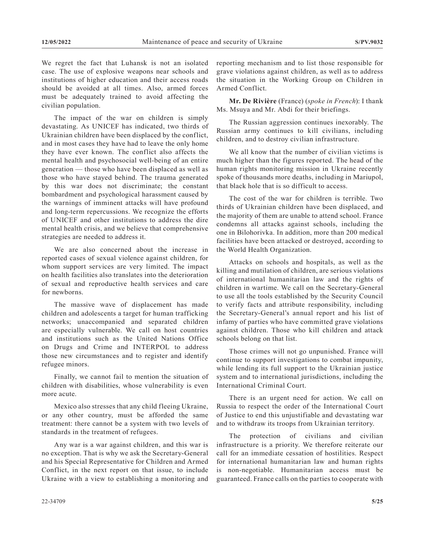We regret the fact that Luhansk is not an isolated case. The use of explosive weapons near schools and institutions of higher education and their access roads should be avoided at all times. Also, armed forces must be adequately trained to avoid affecting the civilian population.

The impact of the war on children is simply devastating. As UNICEF has indicated, two thirds of Ukrainian children have been displaced by the conflict, and in most cases they have had to leave the only home they have ever known. The conflict also affects the mental health and psychosocial well-being of an entire generation — those who have been displaced as well as those who have stayed behind. The trauma generated by this war does not discriminate; the constant bombardment and psychological harassment caused by the warnings of imminent attacks will have profound and long-term repercussions. We recognize the efforts of UNICEF and other institutions to address the dire mental health crisis, and we believe that comprehensive strategies are needed to address it.

We are also concerned about the increase in reported cases of sexual violence against children, for whom support services are very limited. The impact on health facilities also translates into the deterioration of sexual and reproductive health services and care for newborns.

The massive wave of displacement has made children and adolescents a target for human trafficking networks; unaccompanied and separated children are especially vulnerable. We call on host countries and institutions such as the United Nations Office on Drugs and Crime and INTERPOL to address those new circumstances and to register and identify refugee minors.

Finally, we cannot fail to mention the situation of children with disabilities, whose vulnerability is even more acute.

Mexico also stresses that any child fleeing Ukraine, or any other country, must be afforded the same treatment: there cannot be a system with two levels of standards in the treatment of refugees.

Any war is a war against children, and this war is no exception. That is why we ask the Secretary-General and his Special Representative for Children and Armed Conflict, in the next report on that issue, to include Ukraine with a view to establishing a monitoring and

reporting mechanism and to list those responsible for grave violations against children, as well as to address the situation in the Working Group on Children in Armed Conflict.

**Mr. De Rivière** (France) (*spoke in French*): I thank Ms. Msuya and Mr. Abdi for their briefings.

The Russian aggression continues inexorably. The Russian army continues to kill civilians, including children, and to destroy civilian infrastructure.

We all know that the number of civilian victims is much higher than the figures reported. The head of the human rights monitoring mission in Ukraine recently spoke of thousands more deaths, including in Mariupol, that black hole that is so difficult to access.

The cost of the war for children is terrible. Two thirds of Ukrainian children have been displaced, and the majority of them are unable to attend school. France condemns all attacks against schools, including the one in Bilohorivka. In addition, more than 200 medical facilities have been attacked or destroyed, according to the World Health Organization.

Attacks on schools and hospitals, as well as the killing and mutilation of children, are serious violations of international humanitarian law and the rights of children in wartime. We call on the Secretary-General to use all the tools established by the Security Council to verify facts and attribute responsibility, including the Secretary-General's annual report and his list of infamy of parties who have committed grave violations against children. Those who kill children and attack schools belong on that list.

Those crimes will not go unpunished. France will continue to support investigations to combat impunity, while lending its full support to the Ukrainian justice system and to international jurisdictions, including the International Criminal Court.

There is an urgent need for action. We call on Russia to respect the order of the International Court of Justice to end this unjustifiable and devastating war and to withdraw its troops from Ukrainian territory.

The protection of civilians and civilian infrastructure is a priority. We therefore reiterate our call for an immediate cessation of hostilities. Respect for international humanitarian law and human rights is non-negotiable. Humanitarian access must be guaranteed. France calls on the parties to cooperate with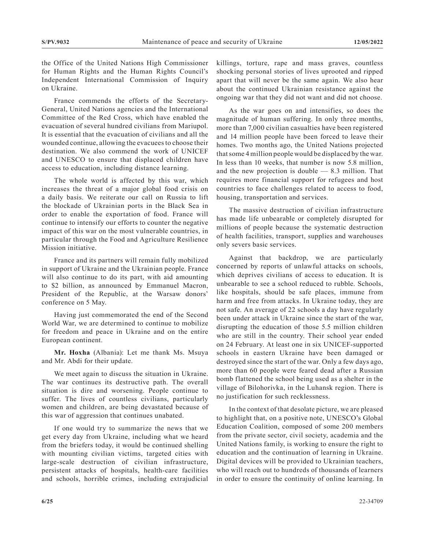the Office of the United Nations High Commissioner for Human Rights and the Human Rights Council's Independent International Commission of Inquiry on Ukraine.

France commends the efforts of the Secretary-General, United Nations agencies and the International Committee of the Red Cross, which have enabled the evacuation of several hundred civilians from Mariupol. It is essential that the evacuation of civilians and all the wounded continue, allowing the evacuees to choose their destination. We also commend the work of UNICEF and UNESCO to ensure that displaced children have access to education, including distance learning.

The whole world is affected by this war, which increases the threat of a major global food crisis on a daily basis. We reiterate our call on Russia to lift the blockade of Ukrainian ports in the Black Sea in order to enable the exportation of food. France will continue to intensify our efforts to counter the negative impact of this war on the most vulnerable countries, in particular through the Food and Agriculture Resilience Mission initiative.

France and its partners will remain fully mobilized in support of Ukraine and the Ukrainian people. France will also continue to do its part, with aid amounting to \$2 billion, as announced by Emmanuel Macron, President of the Republic, at the Warsaw donors' conference on 5 May.

Having just commemorated the end of the Second World War, we are determined to continue to mobilize for freedom and peace in Ukraine and on the entire European continent.

**Mr. Hoxha** (Albania): Let me thank Ms. Msuya and Mr. Abdi for their update.

We meet again to discuss the situation in Ukraine. The war continues its destructive path. The overall situation is dire and worsening. People continue to suffer. The lives of countless civilians, particularly women and children, are being devastated because of this war of aggression that continues unabated.

If one would try to summarize the news that we get every day from Ukraine, including what we heard from the briefers today, it would be continued shelling with mounting civilian victims, targeted cities with large-scale destruction of civilian infrastructure, persistent attacks of hospitals, health-care facilities and schools, horrible crimes, including extrajudicial killings, torture, rape and mass graves, countless shocking personal stories of lives uprooted and ripped apart that will never be the same again. We also hear about the continued Ukrainian resistance against the ongoing war that they did not want and did not choose.

As the war goes on and intensifies, so does the magnitude of human suffering. In only three months, more than 7,000 civilian casualties have been registered and 14 million people have been forced to leave their homes. Two months ago, the United Nations projected that some 4 million people would be displaced by the war. In less than 10 weeks, that number is now 5.8 million, and the new projection is double — 8.3 million. That requires more financial support for refugees and host countries to face challenges related to access to food, housing, transportation and services.

The massive destruction of civilian infrastructure has made life unbearable or completely disrupted for millions of people because the systematic destruction of health facilities, transport, supplies and warehouses only severs basic services.

Against that backdrop, we are particularly concerned by reports of unlawful attacks on schools, which deprives civilians of access to education. It is unbearable to see a school reduced to rubble. Schools, like hospitals, should be safe places, immune from harm and free from attacks. In Ukraine today, they are not safe. An average of 22 schools a day have regularly been under attack in Ukraine since the start of the war, disrupting the education of those 5.5 million children who are still in the country. Their school year ended on 24 February. At least one in six UNICEF-supported schools in eastern Ukraine have been damaged or destroyed since the start of the war. Only a few days ago, more than 60 people were feared dead after a Russian bomb flattened the school being used as a shelter in the village of Bilohorivka, in the Luhansk region. There is no justification for such recklessness.

In the context of that desolate picture, we are pleased to highlight that, on a positive note, UNESCO's Global Education Coalition, composed of some 200 members from the private sector, civil society, academia and the United Nations family, is working to ensure the right to education and the continuation of learning in Ukraine. Digital devices will be provided to Ukrainian teachers, who will reach out to hundreds of thousands of learners in order to ensure the continuity of online learning. In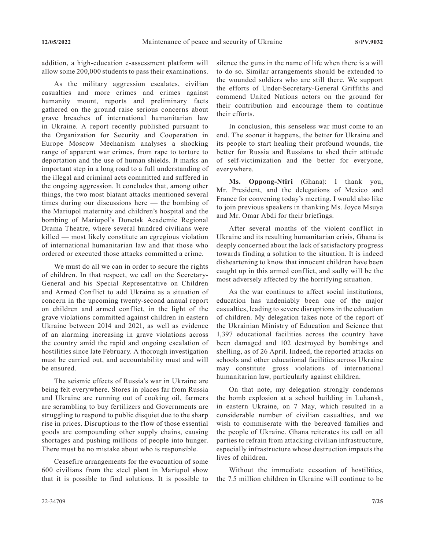addition, a high-education e-assessment platform will allow some 200,000 students to pass their examinations.

As the military aggression escalates, civilian casualties and more crimes and crimes against humanity mount, reports and preliminary facts gathered on the ground raise serious concerns about grave breaches of international humanitarian law in Ukraine. A report recently published pursuant to the Organization for Security and Cooperation in Europe Moscow Mechanism analyses a shocking range of apparent war crimes, from rape to torture to deportation and the use of human shields. It marks an important step in a long road to a full understanding of the illegal and criminal acts committed and suffered in the ongoing aggression. It concludes that, among other things, the two most blatant attacks mentioned several times during our discussions here — the bombing of the Mariupol maternity and children's hospital and the bombing of Mariupol's Donetsk Academic Regional Drama Theatre, where several hundred civilians were killed — most likely constitute an egregious violation of international humanitarian law and that those who ordered or executed those attacks committed a crime.

We must do all we can in order to secure the rights of children. In that respect, we call on the Secretary-General and his Special Representative on Children and Armed Conflict to add Ukraine as a situation of concern in the upcoming twenty-second annual report on children and armed conflict, in the light of the grave violations committed against children in eastern Ukraine between 2014 and 2021, as well as evidence of an alarming increasing in grave violations across the country amid the rapid and ongoing escalation of hostilities since late February. A thorough investigation must be carried out, and accountability must and will be ensured.

The seismic effects of Russia's war in Ukraine are being felt everywhere. Stores in places far from Russia and Ukraine are running out of cooking oil, farmers are scrambling to buy fertilizers and Governments are struggling to respond to public disquiet due to the sharp rise in prices. Disruptions to the flow of those essential goods are compounding other supply chains, causing shortages and pushing millions of people into hunger. There must be no mistake about who is responsible.

Ceasefire arrangements for the evacuation of some 600 civilians from the steel plant in Mariupol show that it is possible to find solutions. It is possible to silence the guns in the name of life when there is a will to do so. Similar arrangements should be extended to the wounded soldiers who are still there. We support the efforts of Under-Secretary-General Griffiths and commend United Nations actors on the ground for their contribution and encourage them to continue their efforts.

In conclusion, this senseless war must come to an end. The sooner it happens, the better for Ukraine and its people to start healing their profound wounds, the better for Russia and Russians to shed their attitude of self-victimization and the better for everyone, everywhere.

**Ms. Oppong-Ntiri** (Ghana): I thank you, Mr. President, and the delegations of Mexico and France for convening today's meeting. I would also like to join previous speakers in thanking Ms. Joyce Msuya and Mr. Omar Abdi for their briefings.

After several months of the violent conflict in Ukraine and its resulting humanitarian crisis, Ghana is deeply concerned about the lack of satisfactory progress towards finding a solution to the situation. It is indeed disheartening to know that innocent children have been caught up in this armed conflict, and sadly will be the most adversely affected by the horrifying situation.

As the war continues to affect social institutions, education has undeniably been one of the major casualties, leading to severe disruptions in the education of children. My delegation takes note of the report of the Ukrainian Ministry of Education and Science that 1,397 educational facilities across the country have been damaged and 102 destroyed by bombings and shelling, as of 26 April. Indeed, the reported attacks on schools and other educational facilities across Ukraine may constitute gross violations of international humanitarian law, particularly against children.

On that note, my delegation strongly condemns the bomb explosion at a school building in Luhansk, in eastern Ukraine, on 7 May, which resulted in a considerable number of civilian casualties, and we wish to commiserate with the bereaved families and the people of Ukraine. Ghana reiterates its call on all parties to refrain from attacking civilian infrastructure, especially infrastructure whose destruction impacts the lives of children.

Without the immediate cessation of hostilities, the 7.5 million children in Ukraine will continue to be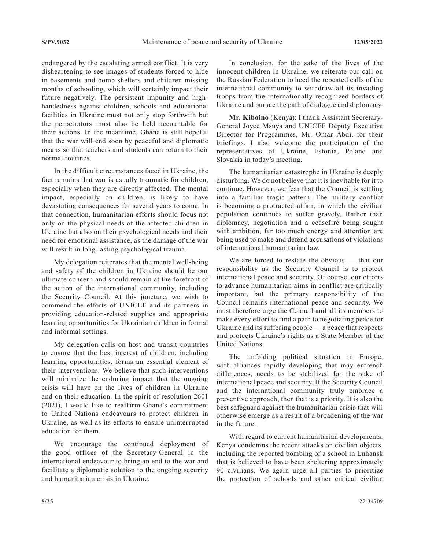endangered by the escalating armed conflict. It is very disheartening to see images of students forced to hide in basements and bomb shelters and children missing months of schooling, which will certainly impact their future negatively. The persistent impunity and highhandedness against children, schools and educational facilities in Ukraine must not only stop forthwith but the perpetrators must also be held accountable for their actions. In the meantime, Ghana is still hopeful that the war will end soon by peaceful and diplomatic means so that teachers and students can return to their normal routines.

In the difficult circumstances faced in Ukraine, the fact remains that war is usually traumatic for children, especially when they are directly affected. The mental impact, especially on children, is likely to have devastating consequences for several years to come. In that connection, humanitarian efforts should focus not only on the physical needs of the affected children in Ukraine but also on their psychological needs and their need for emotional assistance, as the damage of the war will result in long-lasting psychological trauma.

My delegation reiterates that the mental well-being and safety of the children in Ukraine should be our ultimate concern and should remain at the forefront of the action of the international community, including the Security Council. At this juncture, we wish to commend the efforts of UNICEF and its partners in providing education-related supplies and appropriate learning opportunities for Ukrainian children in formal and informal settings.

My delegation calls on host and transit countries to ensure that the best interest of children, including learning opportunities, forms an essential element of their interventions. We believe that such interventions will minimize the enduring impact that the ongoing crisis will have on the lives of children in Ukraine and on their education. In the spirit of resolution 2601 (2021), I would like to reaffirm Ghana's commitment to United Nations endeavours to protect children in Ukraine, as well as its efforts to ensure uninterrupted education for them.

We encourage the continued deployment of the good offices of the Secretary-General in the international endeavour to bring an end to the war and facilitate a diplomatic solution to the ongoing security and humanitarian crisis in Ukraine.

In conclusion, for the sake of the lives of the innocent children in Ukraine, we reiterate our call on the Russian Federation to heed the repeated calls of the international community to withdraw all its invading troops from the internationally recognized borders of Ukraine and pursue the path of dialogue and diplomacy.

**Mr. Kiboino** (Kenya): I thank Assistant Secretary-General Joyce Msuya and UNICEF Deputy Executive Director for Programmes, Mr. Omar Abdi, for their briefings. I also welcome the participation of the representatives of Ukraine, Estonia, Poland and Slovakia in today's meeting.

The humanitarian catastrophe in Ukraine is deeply disturbing. We do not believe that it is inevitable for it to continue. However, we fear that the Council is settling into a familiar tragic pattern. The military conflict is becoming a protracted affair, in which the civilian population continues to suffer gravely. Rather than diplomacy, negotiation and a ceasefire being sought with ambition, far too much energy and attention are being used to make and defend accusations of violations of international humanitarian law.

We are forced to restate the obvious — that our responsibility as the Security Council is to protect international peace and security. Of course, our efforts to advance humanitarian aims in conflict are critically important, but the primary responsibility of the Council remains international peace and security. We must therefore urge the Council and all its members to make every effort to find a path to negotiating peace for Ukraine and its suffering people — a peace that respects and protects Ukraine's rights as a State Member of the United Nations.

The unfolding political situation in Europe, with alliances rapidly developing that may entrench differences, needs to be stabilized for the sake of international peace and security. If the Security Council and the international community truly embrace a preventive approach, then that is a priority. It is also the best safeguard against the humanitarian crisis that will otherwise emerge as a result of a broadening of the war in the future.

With regard to current humanitarian developments, Kenya condemns the recent attacks on civilian objects, including the reported bombing of a school in Luhansk that is believed to have been sheltering approximately 90 civilians. We again urge all parties to prioritize the protection of schools and other critical civilian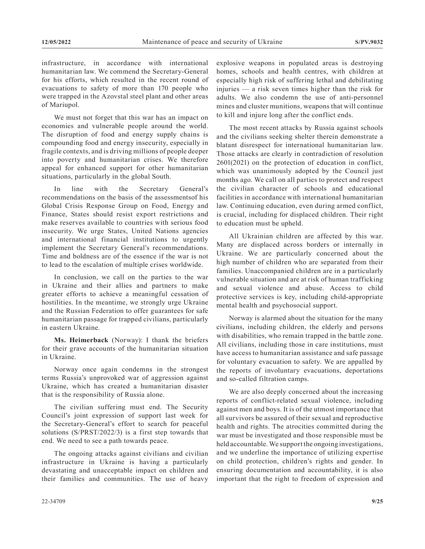infrastructure, in accordance with international humanitarian law. We commend the Secretary-General for his efforts, which resulted in the recent round of evacuations to safety of more than 170 people who were trapped in the Azovstal steel plant and other areas of Mariupol.

We must not forget that this war has an impact on economies and vulnerable people around the world. The disruption of food and energy supply chains is compounding food and energy insecurity, especially in fragile contexts, and is driving millions of people deeper into poverty and humanitarian crises. We therefore appeal for enhanced support for other humanitarian situations, particularly in the global South.

In line with the Secretary General's recommendations on the basis of the assessmentsof his Global Crisis Response Group on Food, Energy and Finance, States should resist export restrictions and make reserves available to countries with serious food insecurity. We urge States, United Nations agencies and international financial institutions to urgently implement the Secretary General's recommendations. Time and boldness are of the essence if the war is not to lead to the escalation of multiple crises worldwide.

In conclusion, we call on the parties to the war in Ukraine and their allies and partners to make greater efforts to achieve a meaningful cessation of hostilities. In the meantime, we strongly urge Ukraine and the Russian Federation to offer guarantees for safe humanitarian passage for trapped civilians, particularly in eastern Ukraine.

**Ms. Heimerback** (Norway): I thank the briefers for their grave accounts of the humanitarian situation in Ukraine.

Norway once again condemns in the strongest terms Russia's unprovoked war of aggression against Ukraine, which has created a humanitarian disaster that is the responsibility of Russia alone.

The civilian suffering must end. The Security Council's joint expression of support last week for the Secretary-General's effort to search for peaceful solutions (S/PRST/2022/3) is a first step towards that end. We need to see a path towards peace.

The ongoing attacks against civilians and civilian infrastructure in Ukraine is having a particularly devastating and unacceptable impact on children and their families and communities. The use of heavy explosive weapons in populated areas is destroying homes, schools and health centres, with children at especially high risk of suffering lethal and debilitating injuries — a risk seven times higher than the risk for adults. We also condemn the use of anti-personnel mines and cluster munitions, weapons that will continue to kill and injure long after the conflict ends.

The most recent attacks by Russia against schools and the civilians seeking shelter therein demonstrate a blatant disrespect for international humanitarian law. Those attacks are clearly in contradiction of resolution 2601(2021) on the protection of education in conflict, which was unanimously adopted by the Council just months ago. We call on all parties to protect and respect the civilian character of schools and educational facilities in accordance with international humanitarian law. Continuing education, even during armed conflict, is crucial, including for displaced children. Their right to education must be upheld.

All Ukrainian children are affected by this war. Many are displaced across borders or internally in Ukraine. We are particularly concerned about the high number of children who are separated from their families. Unaccompanied children are in a particularly vulnerable situation and are at risk of human trafficking and sexual violence and abuse. Access to child protective services is key, including child-appropriate mental health and psychosocial support.

Norway is alarmed about the situation for the many civilians, including children, the elderly and persons with disabilities, who remain trapped in the battle zone. All civilians, including those in care institutions, must have access to humanitarian assistance and safe passage for voluntary evacuation to safety. We are appalled by the reports of involuntary evacuations, deportations and so-called filtration camps.

We are also deeply concerned about the increasing reports of conflict-related sexual violence, including against men and boys. It is of the utmost importance that all survivors be assured of their sexual and reproductive health and rights. The atrocities committed during the war must be investigated and those responsible must be held accountable. We support the ongoing investigations, and we underline the importance of utilizing expertise on child protection, children's rights and gender. In ensuring documentation and accountability, it is also important that the right to freedom of expression and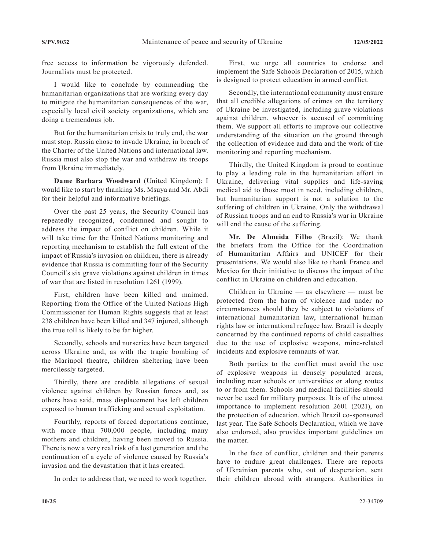free access to information be vigorously defended. Journalists must be protected.

I would like to conclude by commending the humanitarian organizations that are working every day to mitigate the humanitarian consequences of the war, especially local civil society organizations, which are doing a tremendous job.

But for the humanitarian crisis to truly end, the war must stop. Russia chose to invade Ukraine, in breach of the Charter of the United Nations and international law. Russia must also stop the war and withdraw its troops from Ukraine immediately.

**Dame Barbara Woodward** (United Kingdom): I would like to start by thanking Ms. Msuya and Mr. Abdi for their helpful and informative briefings.

Over the past 25 years, the Security Council has repeatedly recognized, condemned and sought to address the impact of conflict on children. While it will take time for the United Nations monitoring and reporting mechanism to establish the full extent of the impact of Russia's invasion on children, there is already evidence that Russia is committing four of the Security Council's six grave violations against children in times of war that are listed in resolution 1261 (1999).

First, children have been killed and maimed. Reporting from the Office of the United Nations High Commissioner for Human Rights suggests that at least 238 children have been killed and 347 injured, although the true toll is likely to be far higher.

Secondly, schools and nurseries have been targeted across Ukraine and, as with the tragic bombing of the Mariupol theatre, children sheltering have been mercilessly targeted.

Thirdly, there are credible allegations of sexual violence against children by Russian forces and, as others have said, mass displacement has left children exposed to human trafficking and sexual exploitation.

Fourthly, reports of forced deportations continue, with more than 700,000 people, including many mothers and children, having been moved to Russia. There is now a very real risk of a lost generation and the continuation of a cycle of violence caused by Russia's invasion and the devastation that it has created.

In order to address that, we need to work together.

First, we urge all countries to endorse and implement the Safe Schools Declaration of 2015, which is designed to protect education in armed conflict.

Secondly, the international community must ensure that all credible allegations of crimes on the territory of Ukraine be investigated, including grave violations against children, whoever is accused of committing them. We support all efforts to improve our collective understanding of the situation on the ground through the collection of evidence and data and the work of the monitoring and reporting mechanism.

Thirdly, the United Kingdom is proud to continue to play a leading role in the humanitarian effort in Ukraine, delivering vital supplies and life-saving medical aid to those most in need, including children, but humanitarian support is not a solution to the suffering of children in Ukraine. Only the withdrawal of Russian troops and an end to Russia's war in Ukraine will end the cause of the suffering.

**Mr. De Almeida Filho** (Brazil): We thank the briefers from the Office for the Coordination of Humanitarian Affairs and UNICEF for their presentations. We would also like to thank France and Mexico for their initiative to discuss the impact of the conflict in Ukraine on children and education.

Children in Ukraine — as elsewhere — must be protected from the harm of violence and under no circumstances should they be subject to violations of international humanitarian law, international human rights law or international refugee law. Brazil is deeply concerned by the continued reports of child casualties due to the use of explosive weapons, mine-related incidents and explosive remnants of war.

Both parties to the conflict must avoid the use of explosive weapons in densely populated areas, including near schools or universities or along routes to or from them. Schools and medical facilities should never be used for military purposes. It is of the utmost importance to implement resolution 2601 (2021), on the protection of education, which Brazil co-sponsored last year. The Safe Schools Declaration, which we have also endorsed, also provides important guidelines on the matter.

In the face of conflict, children and their parents have to endure great challenges. There are reports of Ukrainian parents who, out of desperation, sent their children abroad with strangers. Authorities in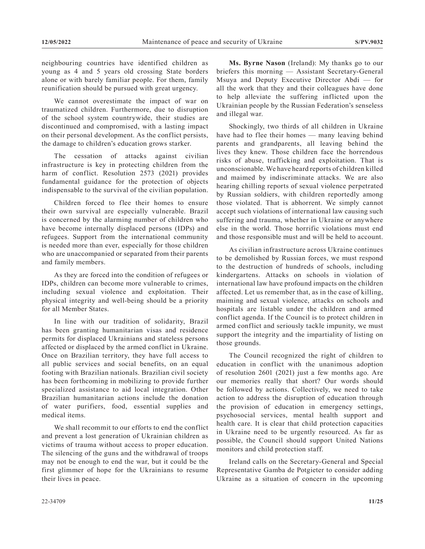neighbouring countries have identified children as young as 4 and 5 years old crossing State borders alone or with barely familiar people. For them, family reunification should be pursued with great urgency.

We cannot overestimate the impact of war on traumatized children. Furthermore, due to disruption of the school system countrywide, their studies are discontinued and compromised, with a lasting impact on their personal development. As the conflict persists, the damage to children's education grows starker.

The cessation of attacks against civilian infrastructure is key in protecting children from the harm of conflict. Resolution 2573 (2021) provides fundamental guidance for the protection of objects indispensable to the survival of the civilian population.

Children forced to flee their homes to ensure their own survival are especially vulnerable. Brazil is concerned by the alarming number of children who have become internally displaced persons (IDPs) and refugees. Support from the international community is needed more than ever, especially for those children who are unaccompanied or separated from their parents and family members.

As they are forced into the condition of refugees or IDPs, children can become more vulnerable to crimes, including sexual violence and exploitation. Their physical integrity and well-being should be a priority for all Member States.

In line with our tradition of solidarity, Brazil has been granting humanitarian visas and residence permits for displaced Ukrainians and stateless persons affected or displaced by the armed conflict in Ukraine. Once on Brazilian territory, they have full access to all public services and social benefits, on an equal footing with Brazilian nationals. Brazilian civil society has been forthcoming in mobilizing to provide further specialized assistance to aid local integration. Other Brazilian humanitarian actions include the donation of water purifiers, food, essential supplies and medical items.

We shall recommit to our efforts to end the conflict and prevent a lost generation of Ukrainian children as victims of trauma without access to proper education. The silencing of the guns and the withdrawal of troops may not be enough to end the war, but it could be the first glimmer of hope for the Ukrainians to resume their lives in peace.

**Ms. Byrne Nason** (Ireland): My thanks go to our briefers this morning — Assistant Secretary-General Msuya and Deputy Executive Director Abdi — for all the work that they and their colleagues have done to help alleviate the suffering inflicted upon the Ukrainian people by the Russian Federation's senseless and illegal war.

Shockingly, two thirds of all children in Ukraine have had to flee their homes — many leaving behind parents and grandparents, all leaving behind the lives they knew. Those children face the horrendous risks of abuse, trafficking and exploitation. That is unconscionable. We have heard reports of children killed and maimed by indiscriminate attacks. We are also hearing chilling reports of sexual violence perpetrated by Russian soldiers, with children reportedly among those violated. That is abhorrent. We simply cannot accept such violations of international law causing such suffering and trauma, whether in Ukraine or anywhere else in the world. Those horrific violations must end and those responsible must and will be held to account.

As civilian infrastructure across Ukraine continues to be demolished by Russian forces, we must respond to the destruction of hundreds of schools, including kindergartens. Attacks on schools in violation of international law have profound impacts on the children affected. Let us remember that, as in the case of killing, maiming and sexual violence, attacks on schools and hospitals are listable under the children and armed conflict agenda. If the Council is to protect children in armed conflict and seriously tackle impunity, we must support the integrity and the impartiality of listing on those grounds.

The Council recognized the right of children to education in conflict with the unanimous adoption of resolution 2601 (2021) just a few months ago. Are our memories really that short? Our words should be followed by actions. Collectively, we need to take action to address the disruption of education through the provision of education in emergency settings, psychosocial services, mental health support and health care. It is clear that child protection capacities in Ukraine need to be urgently resourced. As far as possible, the Council should support United Nations monitors and child protection staff.

Ireland calls on the Secretary-General and Special Representative Gamba de Potgieter to consider adding Ukraine as a situation of concern in the upcoming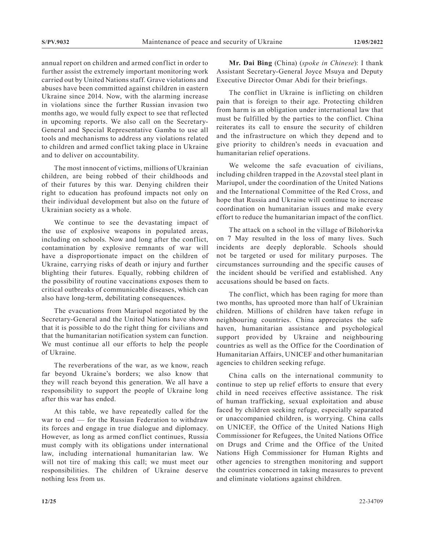annual report on children and armed conflict in order to further assist the extremely important monitoring work carried out by United Nations staff. Grave violations and abuses have been committed against children in eastern Ukraine since 2014. Now, with the alarming increase in violations since the further Russian invasion two months ago, we would fully expect to see that reflected in upcoming reports. We also call on the Secretary-General and Special Representative Gamba to use all tools and mechanisms to address any violations related to children and armed conflict taking place in Ukraine and to deliver on accountability.

The most innocent of victims, millions of Ukrainian children, are being robbed of their childhoods and of their futures by this war. Denying children their right to education has profound impacts not only on their individual development but also on the future of Ukrainian society as a whole.

We continue to see the devastating impact of the use of explosive weapons in populated areas, including on schools. Now and long after the conflict, contamination by explosive remnants of war will have a disproportionate impact on the children of Ukraine, carrying risks of death or injury and further blighting their futures. Equally, robbing children of the possibility of routine vaccinations exposes them to critical outbreaks of communicable diseases, which can also have long-term, debilitating consequences.

The evacuations from Mariupol negotiated by the Secretary-General and the United Nations have shown that it is possible to do the right thing for civilians and that the humanitarian notification system can function. We must continue all our efforts to help the people of Ukraine.

The reverberations of the war, as we know, reach far beyond Ukraine's borders; we also know that they will reach beyond this generation. We all have a responsibility to support the people of Ukraine long after this war has ended.

At this table, we have repeatedly called for the war to end — for the Russian Federation to withdraw its forces and engage in true dialogue and diplomacy. However, as long as armed conflict continues, Russia must comply with its obligations under international law, including international humanitarian law. We will not tire of making this call; we must meet our responsibilities. The children of Ukraine deserve nothing less from us.

**Mr. Dai Bing** (China) (*spoke in Chinese*): I thank Assistant Secretary-General Joyce Msuya and Deputy Executive Director Omar Abdi for their briefings.

The conflict in Ukraine is inflicting on children pain that is foreign to their age. Protecting children from harm is an obligation under international law that must be fulfilled by the parties to the conflict. China reiterates its call to ensure the security of children and the infrastructure on which they depend and to give priority to children's needs in evacuation and humanitarian relief operations.

We welcome the safe evacuation of civilians, including children trapped in the Azovstal steel plant in Mariupol, under the coordination of the United Nations and the International Committee of the Red Cross, and hope that Russia and Ukraine will continue to increase coordination on humanitarian issues and make every effort to reduce the humanitarian impact of the conflict.

The attack on a school in the village of Bilohorivka on 7 May resulted in the loss of many lives. Such incidents are deeply deplorable. Schools should not be targeted or used for military purposes. The circumstances surrounding and the specific causes of the incident should be verified and established. Any accusations should be based on facts.

The conflict, which has been raging for more than two months, has uprooted more than half of Ukrainian children. Millions of children have taken refuge in neighbouring countries. China appreciates the safe haven, humanitarian assistance and psychological support provided by Ukraine and neighbouring countries as well as the Office for the Coordination of Humanitarian Affairs, UNICEF and other humanitarian agencies to children seeking refuge.

China calls on the international community to continue to step up relief efforts to ensure that every child in need receives effective assistance. The risk of human trafficking, sexual exploitation and abuse faced by children seeking refuge, especially separated or unaccompanied children, is worrying. China calls on UNICEF, the Office of the United Nations High Commissioner for Refugees, the United Nations Office on Drugs and Crime and the Office of the United Nations High Commissioner for Human Rights and other agencies to strengthen monitoring and support the countries concerned in taking measures to prevent and eliminate violations against children.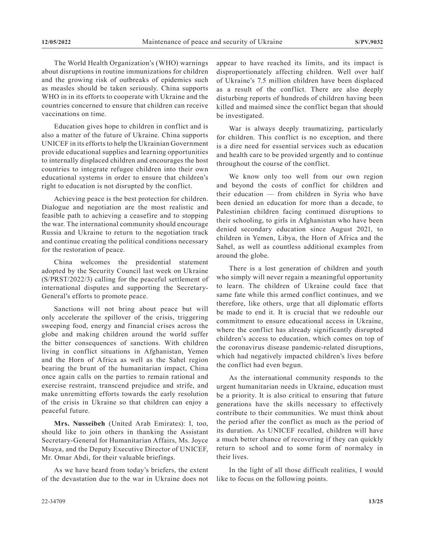The World Health Organization's (WHO) warnings about disruptions in routine immunizations for children and the growing risk of outbreaks of epidemics such as measles should be taken seriously. China supports WHO in in its efforts to cooperate with Ukraine and the countries concerned to ensure that children can receive vaccinations on time.

Education gives hope to children in conflict and is also a matter of the future of Ukraine. China supports UNICEF in its efforts to help the Ukrainian Government provide educational supplies and learning opportunities to internally displaced children and encourages the host countries to integrate refugee children into their own educational systems in order to ensure that children's right to education is not disrupted by the conflict.

Achieving peace is the best protection for children. Dialogue and negotiation are the most realistic and feasible path to achieving a ceasefire and to stopping the war. The international community should encourage Russia and Ukraine to return to the negotiation track and continue creating the political conditions necessary for the restoration of peace.

China welcomes the presidential statement adopted by the Security Council last week on Ukraine (S/PRST/2022/3) calling for the peaceful settlement of international disputes and supporting the Secretary-General's efforts to promote peace.

Sanctions will not bring about peace but will only accelerate the spillover of the crisis, triggering sweeping food, energy and financial crises across the globe and making children around the world suffer the bitter consequences of sanctions. With children living in conflict situations in Afghanistan, Yemen and the Horn of Africa as well as the Sahel region bearing the brunt of the humanitarian impact, China once again calls on the parties to remain rational and exercise restraint, transcend prejudice and strife, and make unremitting efforts towards the early resolution of the crisis in Ukraine so that children can enjoy a peaceful future.

**Mrs. Nusseibeh** (United Arab Emirates): I, too, should like to join others in thanking the Assistant Secretary-General for Humanitarian Affairs, Ms. Joyce Msuya, and the Deputy Executive Director of UNICEF, Mr. Omar Abdi, for their valuable briefings.

As we have heard from today's briefers, the extent of the devastation due to the war in Ukraine does not appear to have reached its limits, and its impact is disproportionately affecting children. Well over half of Ukraine's 7.5 million children have been displaced as a result of the conflict. There are also deeply disturbing reports of hundreds of children having been killed and maimed since the conflict began that should be investigated.

War is always deeply traumatizing, particularly for children. This conflict is no exception, and there is a dire need for essential services such as education and health care to be provided urgently and to continue throughout the course of the conflict.

We know only too well from our own region and beyond the costs of conflict for children and their education — from children in Syria who have been denied an education for more than a decade, to Palestinian children facing continued disruptions to their schooling, to girls in Afghanistan who have been denied secondary education since August 2021, to children in Yemen, Libya, the Horn of Africa and the Sahel, as well as countless additional examples from around the globe.

There is a lost generation of children and youth who simply will never regain a meaningful opportunity to learn. The children of Ukraine could face that same fate while this armed conflict continues, and we therefore, like others, urge that all diplomatic efforts be made to end it. It is crucial that we redouble our commitment to ensure educational access in Ukraine, where the conflict has already significantly disrupted children's access to education, which comes on top of the coronavirus disease pandemic-related disruptions, which had negatively impacted children's lives before the conflict had even begun.

As the international community responds to the urgent humanitarian needs in Ukraine, education must be a priority. It is also critical to ensuring that future generations have the skills necessary to effectively contribute to their communities. We must think about the period after the conflict as much as the period of its duration. As UNICEF recalled, children will have a much better chance of recovering if they can quickly return to school and to some form of normalcy in their lives.

In the light of all those difficult realities, I would like to focus on the following points.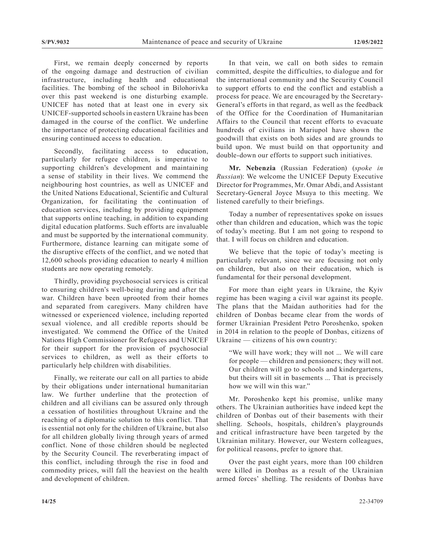First, we remain deeply concerned by reports of the ongoing damage and destruction of civilian infrastructure, including health and educational facilities. The bombing of the school in Bilohorivka over this past weekend is one disturbing example. UNICEF has noted that at least one in every six UNICEF-supported schools in eastern Ukraine has been damaged in the course of the conflict. We underline the importance of protecting educational facilities and ensuring continued access to education.

Secondly, facilitating access to education, particularly for refugee children, is imperative to supporting children's development and maintaining a sense of stability in their lives. We commend the neighbouring host countries, as well as UNICEF and the United Nations Educational, Scientific and Cultural Organization, for facilitating the continuation of education services, including by providing equipment that supports online teaching, in addition to expanding digital education platforms. Such efforts are invaluable and must be supported by the international community. Furthermore, distance learning can mitigate some of the disruptive effects of the conflict, and we noted that 12,600 schools providing education to nearly 4 million students are now operating remotely.

Thirdly, providing psychosocial services is critical to ensuring children's well-being during and after the war. Children have been uprooted from their homes and separated from caregivers. Many children have witnessed or experienced violence, including reported sexual violence, and all credible reports should be investigated. We commend the Office of the United Nations High Commissioner for Refugees and UNICEF for their support for the provision of psychosocial services to children, as well as their efforts to particularly help children with disabilities.

Finally, we reiterate our call on all parties to abide by their obligations under international humanitarian law. We further underline that the protection of children and all civilians can be assured only through a cessation of hostilities throughout Ukraine and the reaching of a diplomatic solution to this conflict. That is essential not only for the children of Ukraine, but also for all children globally living through years of armed conflict. None of those children should be neglected by the Security Council. The reverberating impact of this conflict, including through the rise in food and commodity prices, will fall the heaviest on the health and development of children.

In that vein, we call on both sides to remain committed, despite the difficulties, to dialogue and for the international community and the Security Council to support efforts to end the conflict and establish a process for peace. We are encouraged by the Secretary-General's efforts in that regard, as well as the feedback of the Office for the Coordination of Humanitarian Affairs to the Council that recent efforts to evacuate hundreds of civilians in Mariupol have shown the goodwill that exists on both sides and are grounds to build upon. We must build on that opportunity and double-down our efforts to support such initiatives.

**Mr. Nebenzia** (Russian Federation) (*spoke in Russian*): We welcome the UNICEF Deputy Executive Director for Programmes, Mr. Omar Abdi, and Assistant Secretary-General Joyce Msuya to this meeting. We listened carefully to their briefings.

Today a number of representatives spoke on issues other than children and education, which was the topic of today's meeting. But I am not going to respond to that. I will focus on children and education.

We believe that the topic of today's meeting is particularly relevant, since we are focusing not only on children, but also on their education, which is fundamental for their personal development.

For more than eight years in Ukraine, the Kyiv regime has been waging a civil war against its people. The plans that the Maidan authorities had for the children of Donbas became clear from the words of former Ukrainian President Petro Poroshenko, spoken in 2014 in relation to the people of Donbas, citizens of Ukraine — citizens of his own country:

"We will have work; they will not ... We will care for people — children and pensioners; they will not. Our children will go to schools and kindergartens, but theirs will sit in basements ... That is precisely how we will win this war."

Mr. Poroshenko kept his promise, unlike many others. The Ukrainian authorities have indeed kept the children of Donbas out of their basements with their shelling. Schools, hospitals, children's playgrounds and critical infrastructure have been targeted by the Ukrainian military. However, our Western colleagues, for political reasons, prefer to ignore that.

Over the past eight years, more than 100 children were killed in Donbas as a result of the Ukrainian armed forces' shelling. The residents of Donbas have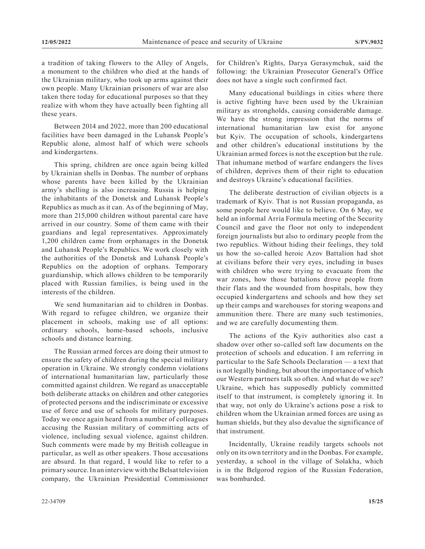a tradition of taking flowers to the Alley of Angels, a monument to the children who died at the hands of the Ukrainian military, who took up arms against their own people. Many Ukrainian prisoners of war are also taken there today for educational purposes so that they realize with whom they have actually been fighting all these years.

Between 2014 and 2022, more than 200 educational facilities have been damaged in the Luhansk People's Republic alone, almost half of which were schools and kindergartens.

This spring, children are once again being killed by Ukrainian shells in Donbas. The number of orphans whose parents have been killed by the Ukrainian army's shelling is also increasing. Russia is helping the inhabitants of the Donetsk and Luhansk People's Republics as much as it can. As of the beginning of May, more than 215,000 children without parental care have arrived in our country. Some of them came with their guardians and legal representatives. Approximately 1,200 children came from orphanages in the Donetsk and Luhansk People's Republics. We work closely with the authorities of the Donetsk and Luhansk People's Republics on the adoption of orphans. Temporary guardianship, which allows children to be temporarily placed with Russian families, is being used in the interests of the children.

We send humanitarian aid to children in Donbas. With regard to refugee children, we organize their placement in schools, making use of all options: ordinary schools, home-based schools, inclusive schools and distance learning.

The Russian armed forces are doing their utmost to ensure the safety of children during the special military operation in Ukraine. We strongly condemn violations of international humanitarian law, particularly those committed against children. We regard as unacceptable both deliberate attacks on children and other categories of protected persons and the indiscriminate or excessive use of force and use of schools for military purposes. Today we once again heard from a number of colleagues accusing the Russian military of committing acts of violence, including sexual violence, against children. Such comments were made by my British colleague in particular, as well as other speakers. Those accusations are absurd. In that regard, I would like to refer to a primary source. In an interview with the Belsat television company, the Ukrainian Presidential Commissioner

for Children's Rights, Darya Gerasymchuk, said the following: the Ukrainian Prosecutor General's Office does not have a single such confirmed fact.

Many educational buildings in cities where there is active fighting have been used by the Ukrainian military as strongholds, causing considerable damage. We have the strong impression that the norms of international humanitarian law exist for anyone but Kyiv. The occupation of schools, kindergartens and other children's educational institutions by the Ukrainian armed forces is not the exception but the rule. That inhumane method of warfare endangers the lives of children, deprives them of their right to education and destroys Ukraine's educational facilities.

The deliberate destruction of civilian objects is a trademark of Kyiv. That is not Russian propaganda, as some people here would like to believe. On 6 May, we held an informal Arria Formula meeting of the Security Council and gave the floor not only to independent foreign journalists but also to ordinary people from the two republics. Without hiding their feelings, they told us how the so-called heroic Azov Battalion had shot at civilians before their very eyes, including in buses with children who were trying to evacuate from the war zones, how those battalions drove people from their flats and the wounded from hospitals, how they occupied kindergartens and schools and how they set up their camps and warehouses for storing weapons and ammunition there. There are many such testimonies, and we are carefully documenting them.

The actions of the Kyiv authorities also cast a shadow over other so-called soft law documents on the protection of schools and education. I am referring in particular to the Safe Schools Declaration — a text that is not legally binding, but about the importance of which our Western partners talk so often. And what do we see? Ukraine, which has supposedly publicly committed itself to that instrument, is completely ignoring it. In that way, not only do Ukraine's actions pose a risk to children whom the Ukrainian armed forces are using as human shields, but they also devalue the significance of that instrument.

Incidentally, Ukraine readily targets schools not only on its own territory and in the Donbas. For example, yesterday, a school in the village of Solakha, which is in the Belgorod region of the Russian Federation, was bombarded.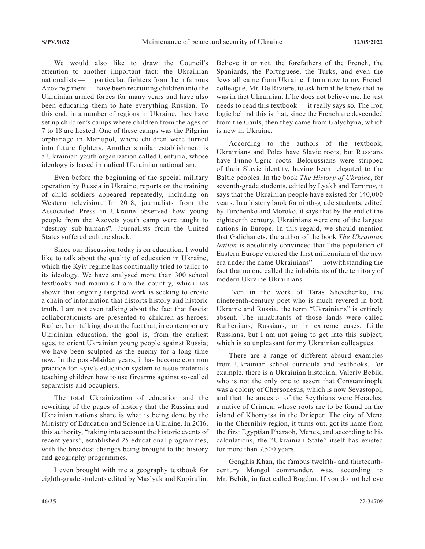We would also like to draw the Council's attention to another important fact: the Ukrainian nationalists — in particular, fighters from the infamous Azov regiment — have been recruiting children into the Ukrainian armed forces for many years and have also been educating them to hate everything Russian. To this end, in a number of regions in Ukraine, they have set up children's camps where children from the ages of 7 to 18 are hosted. One of these camps was the Pilgrim orphanage in Mariupol, where children were turned into future fighters. Another similar establishment is a Ukrainian youth organization called Centuria, whose ideology is based in radical Ukrainian nationalism.

Even before the beginning of the special military operation by Russia in Ukraine, reports on the training of child soldiers appeared repeatedly, including on Western television. In 2018, journalists from the Associated Press in Ukraine observed how young people from the Azovets youth camp were taught to "destroy sub-humans". Journalists from the United States suffered culture shock.

Since our discussion today is on education, I would like to talk about the quality of education in Ukraine, which the Kyiv regime has continually tried to tailor to its ideology. We have analysed more than 300 school textbooks and manuals from the country, which has shown that ongoing targeted work is seeking to create a chain of information that distorts history and historic truth. I am not even talking about the fact that fascist collaborationists are presented to children as heroes. Rather, I am talking about the fact that, in contemporary Ukrainian education, the goal is, from the earliest ages, to orient Ukrainian young people against Russia; we have been sculpted as the enemy for a long time now. In the post-Maidan years, it has become common practice for Kyiv's education system to issue materials teaching children how to use firearms against so-called separatists and occupiers.

The total Ukrainization of education and the rewriting of the pages of history that the Russian and Ukrainian nations share is what is being done by the Ministry of Education and Science in Ukraine. In 2016, this authority, "taking into account the historic events of recent years", established 25 educational programmes, with the broadest changes being brought to the history and geography programmes.

I even brought with me a geography textbook for eighth-grade students edited by Maslyak and Kapirulin. Believe it or not, the forefathers of the French, the Spaniards, the Portuguese, the Turks, and even the Jews all came from Ukraine. I turn now to my French colleague, Mr. De Rivière, to ask him if he knew that he was in fact Ukrainian. If he does not believe me, he just needs to read this textbook — it really says so. The iron logic behind this is that, since the French are descended from the Gauls, then they came from Galychyna, which is now in Ukraine.

According to the authors of the textbook, Ukrainians and Poles have Slavic roots, but Russians have Finno-Ugric roots. Belorussians were stripped of their Slavic identity, having been relegated to the Baltic peoples. In the book *The History of Ukraine*, for seventh-grade students, edited by Lyakh and Temirov, it says that the Ukrainian people have existed for 140,000 years. In a history book for ninth-grade students, edited by Turchenko and Moroko, it says that by the end of the eighteenth century, Ukrainians were one of the largest nations in Europe. In this regard, we should mention that Galichanets, the author of the book *The Ukrainian Nation* is absolutely convinced that "the population of Eastern Europe entered the first millennium of the new era under the name Ukrainians" — notwithstanding the fact that no one called the inhabitants of the territory of modern Ukraine Ukrainians.

Even in the work of Taras Shevchenko, the nineteenth-century poet who is much revered in both Ukraine and Russia, the term "Ukrainians" is entirely absent. The inhabitants of those lands were called Ruthenians, Russians, or in extreme cases, Little Russians, but I am not going to get into this subject, which is so unpleasant for my Ukrainian colleagues.

There are a range of different absurd examples from Ukrainian school curricula and textbooks. For example, there is a Ukrainian historian, Valeriy Bebik, who is not the only one to assert that Constantinople was a colony of Chersonesus, which is now Sevastopol, and that the ancestor of the Scythians were Heracles, a native of Crimea, whose roots are to be found on the island of Khortytsa in the Dnieper. The city of Mena in the Chernihiv region, it turns out, got its name from the first Egyptian Pharaoh, Menes, and according to his calculations, the "Ukrainian State" itself has existed for more than 7,500 years.

Genghis Khan, the famous twelfth- and thirteenthcentury Mongol commander, was, according to Mr. Bebik, in fact called Bogdan. If you do not believe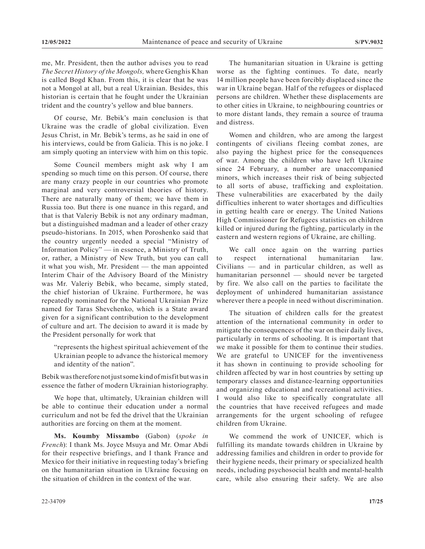me, Mr. President, then the author advises you to read *The Secret History of the Mongols,* where Genghis Khan is called Bogd Khan. From this, it is clear that he was not a Mongol at all, but a real Ukrainian. Besides, this historian is certain that he fought under the Ukrainian trident and the country's yellow and blue banners.

Of course, Mr. Bebik's main conclusion is that Ukraine was the cradle of global civilization. Even Jesus Christ, in Mr. Bebik's terms, as he said in one of his interviews, could be from Galicia. This is no joke. I am simply quoting an interview with him on this topic.

Some Council members might ask why I am spending so much time on this person. Of course, there are many crazy people in our countries who promote marginal and very controversial theories of history. There are naturally many of them; we have them in Russia too. But there is one nuance in this regard, and that is that Valeriy Bebik is not any ordinary madman, but a distinguished madman and a leader of other crazy pseudo-historians. In 2015, when Poroshenko said that the country urgently needed a special "Ministry of Information Policy" — in essence, a Ministry of Truth, or, rather, a Ministry of New Truth, but you can call it what you wish, Mr. President — the man appointed Interim Chair of the Advisory Board of the Ministry was Mr. Valeriy Bebik, who became, simply stated, the chief historian of Ukraine. Furthermore, he was repeatedly nominated for the National Ukrainian Prize named for Taras Shevchenko, which is a State award given for a significant contribution to the development of culture and art. The decision to award it is made by the President personally for work that

"represents the highest spiritual achievement of the Ukrainian people to advance the historical memory and identity of the nation".

Bebik was therefore not just some kind of misfit but was in essence the father of modern Ukrainian historiography.

We hope that, ultimately, Ukrainian children will be able to continue their education under a normal curriculum and not be fed the drivel that the Ukrainian authorities are forcing on them at the moment.

**Ms. Koumby Missambo** (Gabon) (*spoke in French*): I thank Ms. Joyce Msuya and Mr. Omar Abdi for their respective briefings, and I thank France and Mexico for their initiative in requesting today's briefing on the humanitarian situation in Ukraine focusing on the situation of children in the context of the war.

The humanitarian situation in Ukraine is getting worse as the fighting continues. To date, nearly 14 million people have been forcibly displaced since the war in Ukraine began. Half of the refugees or displaced persons are children. Whether these displacements are to other cities in Ukraine, to neighbouring countries or to more distant lands, they remain a source of trauma and distress.

Women and children, who are among the largest contingents of civilians fleeing combat zones, are also paying the highest price for the consequences of war. Among the children who have left Ukraine since 24 February, a number are unaccompanied minors, which increases their risk of being subjected to all sorts of abuse, trafficking and exploitation. These vulnerabilities are exacerbated by the daily difficulties inherent to water shortages and difficulties in getting health care or energy. The United Nations High Commissioner for Refugees statistics on children killed or injured during the fighting, particularly in the eastern and western regions of Ukraine, are chilling.

We call once again on the warring parties to respect international humanitarian law. Civilians — and in particular children, as well as humanitarian personnel — should never be targeted by fire. We also call on the parties to facilitate the deployment of unhindered humanitarian assistance wherever there a people in need without discrimination.

The situation of children calls for the greatest attention of the international community in order to mitigate the consequences of the war on their daily lives, particularly in terms of schooling. It is important that we make it possible for them to continue their studies. We are grateful to UNICEF for the inventiveness it has shown in continuing to provide schooling for children affected by war in host countries by setting up temporary classes and distance-learning opportunities and organizing educational and recreational activities. I would also like to specifically congratulate all the countries that have received refugees and made arrangements for the urgent schooling of refugee children from Ukraine.

We commend the work of UNICEF, which is fulfilling its mandate towards children in Ukraine by addressing families and children in order to provide for their hygiene needs, their primary or specialized health needs, including psychosocial health and mental-health care, while also ensuring their safety. We are also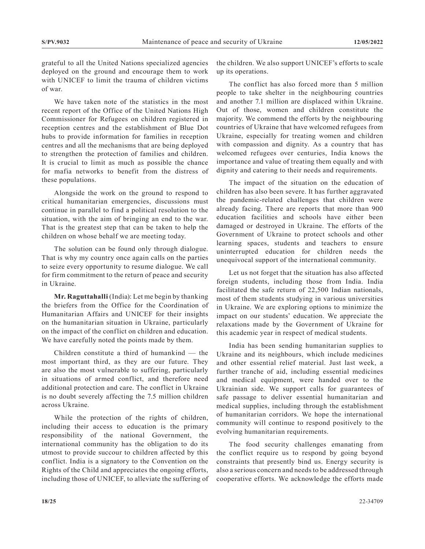grateful to all the United Nations specialized agencies deployed on the ground and encourage them to work with UNICEF to limit the trauma of children victims of war.

We have taken note of the statistics in the most recent report of the Office of the United Nations High Commissioner for Refugees on children registered in reception centres and the establishment of Blue Dot hubs to provide information for families in reception centres and all the mechanisms that are being deployed to strengthen the protection of families and children. It is crucial to limit as much as possible the chance for mafia networks to benefit from the distress of these populations.

Alongside the work on the ground to respond to critical humanitarian emergencies, discussions must continue in parallel to find a political resolution to the situation, with the aim of bringing an end to the war. That is the greatest step that can be taken to help the children on whose behalf we are meeting today.

The solution can be found only through dialogue. That is why my country once again calls on the parties to seize every opportunity to resume dialogue. We call for firm commitment to the return of peace and security in Ukraine.

**Mr. Raguttahalli** (India): Let me begin by thanking the briefers from the Office for the Coordination of Humanitarian Affairs and UNICEF for their insights on the humanitarian situation in Ukraine, particularly on the impact of the conflict on children and education. We have carefully noted the points made by them.

Children constitute a third of humankind — the most important third, as they are our future. They are also the most vulnerable to suffering, particularly in situations of armed conflict, and therefore need additional protection and care. The conflict in Ukraine is no doubt severely affecting the 7.5 million children across Ukraine.

While the protection of the rights of children, including their access to education is the primary responsibility of the national Government, the international community has the obligation to do its utmost to provide succour to children affected by this conflict. India is a signatory to the Convention on the Rights of the Child and appreciates the ongoing efforts, including those of UNICEF, to alleviate the suffering of the children. We also support UNICEF's efforts to scale up its operations.

The conflict has also forced more than 5 million people to take shelter in the neighbouring countries and another 7.1 million are displaced within Ukraine. Out of those, women and children constitute the majority. We commend the efforts by the neighbouring countries of Ukraine that have welcomed refugees from Ukraine, especially for treating women and children with compassion and dignity. As a country that has welcomed refugees over centuries, India knows the importance and value of treating them equally and with dignity and catering to their needs and requirements.

The impact of the situation on the education of children has also been severe. It has further aggravated the pandemic-related challenges that children were already facing. There are reports that more than 900 education facilities and schools have either been damaged or destroyed in Ukraine. The efforts of the Government of Ukraine to protect schools and other learning spaces, students and teachers to ensure uninterrupted education for children needs the unequivocal support of the international community.

Let us not forget that the situation has also affected foreign students, including those from India. India facilitated the safe return of 22,500 Indian nationals, most of them students studying in various universities in Ukraine. We are exploring options to minimize the impact on our students' education. We appreciate the relaxations made by the Government of Ukraine for this academic year in respect of medical students.

India has been sending humanitarian supplies to Ukraine and its neighbours, which include medicines and other essential relief material. Just last week, a further tranche of aid, including essential medicines and medical equipment, were handed over to the Ukrainian side. We support calls for guarantees of safe passage to deliver essential humanitarian and medical supplies, including through the establishment of humanitarian corridors. We hope the international community will continue to respond positively to the evolving humanitarian requirements.

The food security challenges emanating from the conflict require us to respond by going beyond constraints that presently bind us. Energy security is also a serious concern and needs to be addressed through cooperative efforts. We acknowledge the efforts made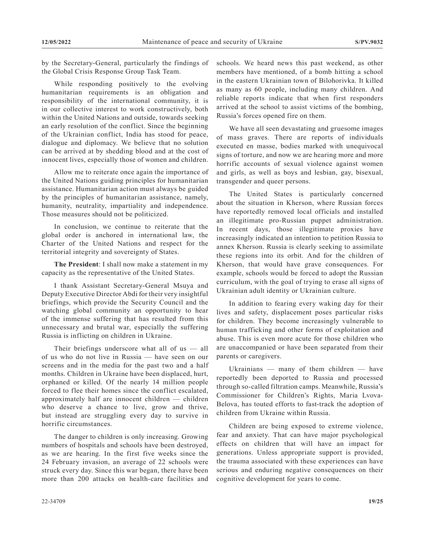by the Secretary-General, particularly the findings of the Global Crisis Response Group Task Team.

While responding positively to the evolving humanitarian requirements is an obligation and responsibility of the international community, it is in our collective interest to work constructively, both within the United Nations and outside, towards seeking an early resolution of the conflict. Since the beginning of the Ukrainian conflict, India has stood for peace, dialogue and diplomacy. We believe that no solution can be arrived at by shedding blood and at the cost of innocent lives, especially those of women and children.

Allow me to reiterate once again the importance of the United Nations guiding principles for humanitarian assistance. Humanitarian action must always be guided by the principles of humanitarian assistance, namely, humanity, neutrality, impartiality and independence. Those measures should not be politicized.

In conclusion, we continue to reiterate that the global order is anchored in international law, the Charter of the United Nations and respect for the territorial integrity and sovereignty of States.

**The President**: I shall now make a statement in my capacity as the representative of the United States.

I thank Assistant Secretary-General Msuya and Deputy Executive Director Abdi for their very insightful briefings, which provide the Security Council and the watching global community an opportunity to hear of the immense suffering that has resulted from this unnecessary and brutal war, especially the suffering Russia is inflicting on children in Ukraine.

Their briefings underscore what all of us — all of us who do not live in Russia — have seen on our screens and in the media for the past two and a half months. Children in Ukraine have been displaced, hurt, orphaned or killed. Of the nearly 14 million people forced to flee their homes since the conflict escalated, approximately half are innocent children — children who deserve a chance to live, grow and thrive, but instead are struggling every day to survive in horrific circumstances.

The danger to children is only increasing. Growing numbers of hospitals and schools have been destroyed, as we are hearing. In the first five weeks since the 24 February invasion, an average of 22 schools were struck every day. Since this war began, there have been more than 200 attacks on health-care facilities and

schools. We heard news this past weekend, as other members have mentioned, of a bomb hitting a school in the eastern Ukrainian town of Bilohorivka. It killed as many as 60 people, including many children. And reliable reports indicate that when first responders arrived at the school to assist victims of the bombing, Russia's forces opened fire on them.

We have all seen devastating and gruesome images of mass graves. There are reports of individuals executed en masse, bodies marked with unequivocal signs of torture, and now we are hearing more and more horrific accounts of sexual violence against women and girls, as well as boys and lesbian, gay, bisexual, transgender and queer persons.

The United States is particularly concerned about the situation in Kherson, where Russian forces have reportedly removed local officials and installed an illegitimate pro-Russian puppet administration. In recent days, those illegitimate proxies have increasingly indicated an intention to petition Russia to annex Kherson. Russia is clearly seeking to assimilate these regions into its orbit. And for the children of Kherson, that would have grave consequences. For example, schools would be forced to adopt the Russian curriculum, with the goal of trying to erase all signs of Ukrainian adult identity or Ukrainian culture.

In addition to fearing every waking day for their lives and safety, displacement poses particular risks for children. They become increasingly vulnerable to human trafficking and other forms of exploitation and abuse. This is even more acute for those children who are unaccompanied or have been separated from their parents or caregivers.

Ukrainians — many of them children — have reportedly been deported to Russia and processed through so-called filtration camps. Meanwhile, Russia's Commissioner for Children's Rights, Maria Lvova-Belova, has touted efforts to fast-track the adoption of children from Ukraine within Russia.

Children are being exposed to extreme violence, fear and anxiety. That can have major psychological effects on children that will have an impact for generations. Unless appropriate support is provided, the trauma associated with these experiences can have serious and enduring negative consequences on their cognitive development for years to come.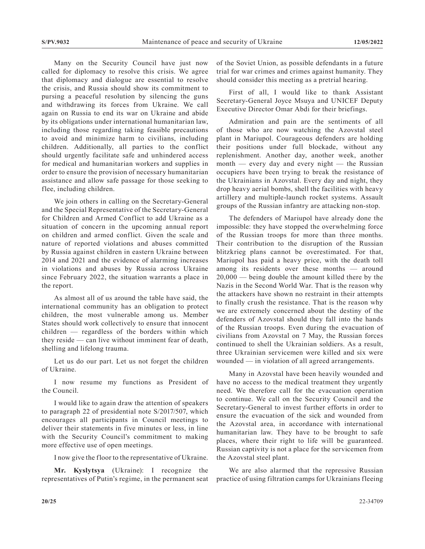Many on the Security Council have just now called for diplomacy to resolve this crisis. We agree that diplomacy and dialogue are essential to resolve the crisis, and Russia should show its commitment to pursing a peaceful resolution by silencing the guns and withdrawing its forces from Ukraine. We call again on Russia to end its war on Ukraine and abide by its obligations under international humanitarian law, including those regarding taking feasible precautions to avoid and minimize harm to civilians, including children. Additionally, all parties to the conflict should urgently facilitate safe and unhindered access for medical and humanitarian workers and supplies in order to ensure the provision of necessary humanitarian assistance and allow safe passage for those seeking to flee, including children.

We join others in calling on the Secretary-General and the Special Representative of the Secretary-General for Children and Armed Conflict to add Ukraine as a situation of concern in the upcoming annual report on children and armed conflict. Given the scale and nature of reported violations and abuses committed by Russia against children in eastern Ukraine between 2014 and 2021 and the evidence of alarming increases in violations and abuses by Russia across Ukraine since February 2022, the situation warrants a place in the report.

As almost all of us around the table have said, the international community has an obligation to protect children, the most vulnerable among us. Member States should work collectively to ensure that innocent children — regardless of the borders within which they reside — can live without imminent fear of death, shelling and lifelong trauma.

Let us do our part. Let us not forget the children of Ukraine.

I now resume my functions as President of the Council.

I would like to again draw the attention of speakers to paragraph 22 of presidential note S/2017/507, which encourages all participants in Council meetings to deliver their statements in five minutes or less, in line with the Security Council's commitment to making more effective use of open meetings.

I now give the floor to the representative of Ukraine.

**Mr. Kyslytsya** (Ukraine): I recognize the representatives of Putin's regime, in the permanent seat of the Soviet Union, as possible defendants in a future trial for war crimes and crimes against humanity. They should consider this meeting as a pretrial hearing.

First of all, I would like to thank Assistant Secretary-General Joyce Msuya and UNICEF Deputy Executive Director Omar Abdi for their briefings.

Admiration and pain are the sentiments of all of those who are now watching the Azovstal steel plant in Mariupol. Courageous defenders are holding their positions under full blockade, without any replenishment. Another day, another week, another month — every day and every night — the Russian occupiers have been trying to break the resistance of the Ukrainians in Azovstal. Every day and night, they drop heavy aerial bombs, shell the facilities with heavy artillery and multiple-launch rocket systems. Assault groups of the Russian infantry are attacking non-stop.

The defenders of Mariupol have already done the impossible: they have stopped the overwhelming force of the Russian troops for more than three months. Their contribution to the disruption of the Russian blitzkrieg plans cannot be overestimated. For that, Mariupol has paid a heavy price, with the death toll among its residents over these months — around 20,000 — being double the amount killed there by the Nazis in the Second World War. That is the reason why the attackers have shown no restraint in their attempts to finally crush the resistance. That is the reason why we are extremely concerned about the destiny of the defenders of Azovstal should they fall into the hands of the Russian troops. Even during the evacuation of civilians from Azovstal on 7 May, the Russian forces continued to shell the Ukrainian soldiers. As a result, three Ukrainian servicemen were killed and six were wounded — in violation of all agreed arrangements.

Many in Azovstal have been heavily wounded and have no access to the medical treatment they urgently need. We therefore call for the evacuation operation to continue. We call on the Security Council and the Secretary-General to invest further efforts in order to ensure the evacuation of the sick and wounded from the Azovstal area, in accordance with international humanitarian law. They have to be brought to safe places, where their right to life will be guaranteed. Russian captivity is not a place for the servicemen from the Azovstal steel plant.

We are also alarmed that the repressive Russian practice of using filtration camps for Ukrainians fleeing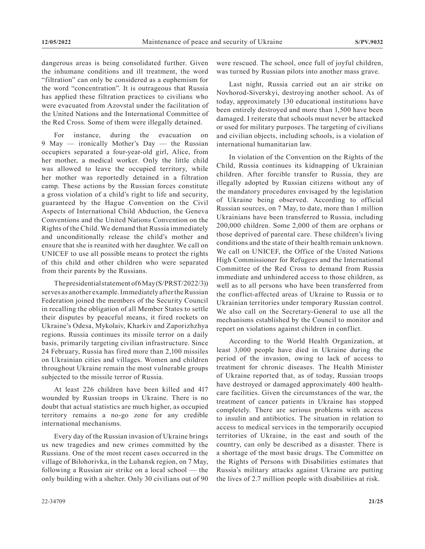dangerous areas is being consolidated further. Given the inhumane conditions and ill treatment, the word "filtration" can only be considered as a euphemism for the word "concentration". It is outrageous that Russia has applied these filtration practices to civilians who were evacuated from Azovstal under the facilitation of the United Nations and the International Committee of the Red Cross. Some of them were illegally detained.

For instance, during the evacuation on 9 May — ironically Mother's Day — the Russian occupiers separated a four-year-old girl, Alice, from her mother, a medical worker. Only the little child was allowed to leave the occupied territory, while her mother was reportedly detained in a filtration camp. These actions by the Russian forces constitute a gross violation of a child's right to life and security, guaranteed by the Hague Convention on the Civil Aspects of International Child Abduction, the Geneva Conventions and the United Nations Convention on the Rights of the Child. We demand that Russia immediately and unconditionally release the child's mother and ensure that she is reunited with her daughter. We call on UNICEF to use all possible means to protect the rights of this child and other children who were separated from their parents by the Russians.

The presidential statement of 6 May (S/PRST/2022/3)) serves as another example. Immediately after the Russian Federation joined the members of the Security Council in recalling the obligation of all Member States to settle their disputes by peaceful means, it fired rockets on Ukraine's Odesa, Mykolaiv, Kharkiv and Zaporizhzhya regions. Russia continues its missile terror on a daily basis, primarily targeting civilian infrastructure. Since 24 February, Russia has fired more than 2,100 missiles on Ukrainian cities and villages. Women and children throughout Ukraine remain the most vulnerable groups subjected to the missile terror of Russia.

At least 226 children have been killed and 417 wounded by Russian troops in Ukraine. There is no doubt that actual statistics are much higher, as occupied territory remains a no-go zone for any credible international mechanisms.

Every day of the Russian invasion of Ukraine brings us new tragedies and new crimes committed by the Russians. One of the most recent cases occurred in the village of Bilohorivka, in the Luhansk region, on 7 May, following a Russian air strike on a local school — the only building with a shelter. Only 30 civilians out of 90 were rescued. The school, once full of joyful children, was turned by Russian pilots into another mass grave.

Last night, Russia carried out an air strike on Novhorod-Siverskyi, destroying another school. As of today, approximately 130 educational institutions have been entirely destroyed and more than 1,500 have been damaged. I reiterate that schools must never be attacked or used for military purposes. The targeting of civilians and civilian objects, including schools, is a violation of international humanitarian law.

In violation of the Convention on the Rights of the Child, Russia continues its kidnapping of Ukrainian children. After forcible transfer to Russia, they are illegally adopted by Russian citizens without any of the mandatory procedures envisaged by the legislation of Ukraine being observed. According to official Russian sources, on 7 May, to date, more than 1 million Ukrainians have been transferred to Russia, including 200,000 children. Some 2,000 of them are orphans or those deprived of parental care. These children's living conditions and the state of their health remain unknown. We call on UNICEF, the Office of the United Nations High Commissioner for Refugees and the International Committee of the Red Cross to demand from Russia immediate and unhindered access to those children, as well as to all persons who have been transferred from the conflict-affected areas of Ukraine to Russia or to Ukrainian territories under temporary Russian control. We also call on the Secretary-General to use all the mechanisms established by the Council to monitor and report on violations against children in conflict.

According to the World Health Organization, at least 3,000 people have died in Ukraine during the period of the invasion, owing to lack of access to treatment for chronic diseases. The Health Minister of Ukraine reported that, as of today, Russian troops have destroyed or damaged approximately 400 healthcare facilities. Given the circumstances of the war, the treatment of cancer patients in Ukraine has stopped completely. There are serious problems with access to insulin and antibiotics. The situation in relation to access to medical services in the temporarily occupied territories of Ukraine, in the east and south of the country, can only be described as a disaster. There is a shortage of the most basic drugs. The Committee on the Rights of Persons with Disabilities estimates that Russia's military attacks against Ukraine are putting the lives of 2.7 million people with disabilities at risk.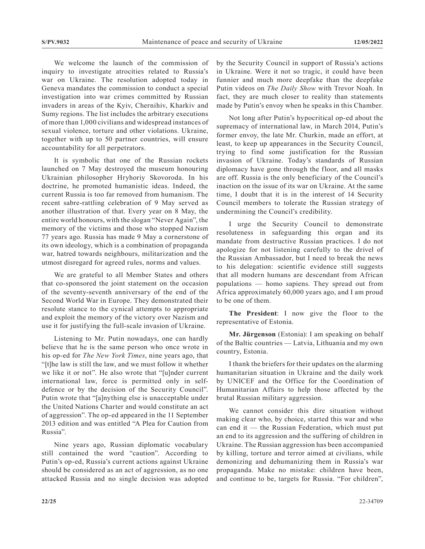We welcome the launch of the commission of inquiry to investigate atrocities related to Russia's war on Ukraine. The resolution adopted today in Geneva mandates the commission to conduct a special investigation into war crimes committed by Russian invaders in areas of the Kyiv, Chernihiv, Kharkiv and Sumy regions. The list includes the arbitrary executions of more than 1,000 civilians and widespread instances of sexual violence, torture and other violations. Ukraine, together with up to 50 partner countries, will ensure accountability for all perpetrators.

It is symbolic that one of the Russian rockets launched on 7 May destroyed the museum honouring Ukrainian philosopher Hryhoriy Skovoroda. In his doctrine, he promoted humanistic ideas. Indeed, the current Russia is too far removed from humanism. The recent sabre-rattling celebration of 9 May served as another illustration of that. Every year on 8 May, the entire world honours, with the slogan "Never Again", the memory of the victims and those who stopped Nazism 77 years ago. Russia has made 9 May a cornerstone of its own ideology, which is a combination of propaganda war, hatred towards neighbours, militarization and the utmost disregard for agreed rules, norms and values.

We are grateful to all Member States and others that co-sponsored the joint statement on the occasion of the seventy-seventh anniversary of the end of the Second World War in Europe. They demonstrated their resolute stance to the cynical attempts to appropriate and exploit the memory of the victory over Nazism and use it for justifying the full-scale invasion of Ukraine.

Listening to Mr. Putin nowadays, one can hardly believe that he is the same person who once wrote in his op-ed for *The New York Times*, nine years ago, that "[t]he law is still the law, and we must follow it whether we like it or not". He also wrote that "[u]nder current international law, force is permitted only in selfdefence or by the decision of the Security Council". Putin wrote that "[a]nything else is unacceptable under the United Nations Charter and would constitute an act of aggression". The op-ed appeared in the 11 September 2013 edition and was entitled "A Plea for Caution from Russia".

Nine years ago, Russian diplomatic vocabulary still contained the word "caution". According to Putin's op-ed, Russia's current actions against Ukraine should be considered as an act of aggression, as no one attacked Russia and no single decision was adopted by the Security Council in support of Russia's actions in Ukraine. Were it not so tragic, it could have been funnier and much more deepfake than the deepfake Putin videos on *The Daily Show* with Trevor Noah. In fact, they are much closer to reality than statements made by Putin's envoy when he speaks in this Chamber.

Not long after Putin's hypocritical op-ed about the supremacy of international law, in March 2014, Putin's former envoy, the late Mr. Churkin, made an effort, at least, to keep up appearances in the Security Council, trying to find some justification for the Russian invasion of Ukraine. Today's standards of Russian diplomacy have gone through the floor, and all masks are off. Russia is the only beneficiary of the Council's inaction on the issue of its war on Ukraine. At the same time, I doubt that it is in the interest of 14 Security Council members to tolerate the Russian strategy of undermining the Council's credibility.

I urge the Security Council to demonstrate resoluteness in safeguarding this organ and its mandate from destructive Russian practices. I do not apologize for not listening carefully to the drivel of the Russian Ambassador, but I need to break the news to his delegation: scientific evidence still suggests that all modern humans are descendant from African populations — homo sapiens. They spread out from Africa approximately 60,000 years ago, and I am proud to be one of them.

**The President**: I now give the floor to the representative of Estonia.

**Mr. Jürgenson** (Estonia): I am speaking on behalf of the Baltic countries — Latvia, Lithuania and my own country, Estonia.

I thank the briefers for their updates on the alarming humanitarian situation in Ukraine and the daily work by UNICEF and the Office for the Coordination of Humanitarian Affairs to help those affected by the brutal Russian military aggression.

We cannot consider this dire situation without making clear who, by choice, started this war and who can end it — the Russian Federation, which must put an end to its aggression and the suffering of children in Ukraine. The Russian aggression has been accompanied by killing, torture and terror aimed at civilians, while demonizing and dehumanizing them in Russia's war propaganda. Make no mistake: children have been, and continue to be, targets for Russia. "For children",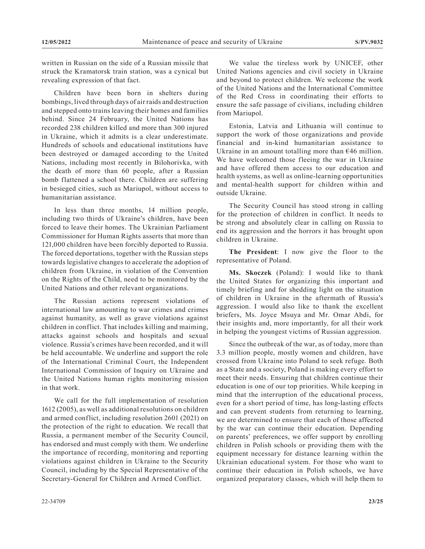written in Russian on the side of a Russian missile that struck the Kramatorsk train station, was a cynical but revealing expression of that fact.

Children have been born in shelters during bombings, lived through days of air raids and destruction and stepped onto trains leaving their homes and families behind. Since 24 February, the United Nations has recorded 238 children killed and more than 300 injured in Ukraine, which it admits is a clear underestimate. Hundreds of schools and educational institutions have been destroyed or damaged according to the United Nations, including most recently in Bilohorivka, with the death of more than 60 people, after a Russian bomb flattened a school there. Children are suffering in besieged cities, such as Mariupol, without access to humanitarian assistance.

In less than three months, 14 million people, including two thirds of Ukraine's children, have been forced to leave their homes. The Ukrainian Parliament Commissioner for Human Rights asserts that more than 121,000 children have been forcibly deported to Russia. The forced deportations, together with the Russian steps towards legislative changes to accelerate the adoption of children from Ukraine, in violation of the Convention on the Rights of the Child, need to be monitored by the United Nations and other relevant organizations.

The Russian actions represent violations of international law amounting to war crimes and crimes against humanity, as well as grave violations against children in conflict. That includes killing and maiming, attacks against schools and hospitals and sexual violence. Russia's crimes have been recorded, and it will be held accountable. We underline and support the role of the International Criminal Court, the Independent International Commission of Inquiry on Ukraine and the United Nations human rights monitoring mission in that work.

We call for the full implementation of resolution 1612 (2005), as well as additional resolutions on children and armed conflict, including resolution 2601 (2021) on the protection of the right to education. We recall that Russia, a permanent member of the Security Council, has endorsed and must comply with them. We underline the importance of recording, monitoring and reporting violations against children in Ukraine to the Security Council, including by the Special Representative of the Secretary-General for Children and Armed Conflict.

We value the tireless work by UNICEF, other United Nations agencies and civil society in Ukraine and beyond to protect children. We welcome the work of the United Nations and the International Committee of the Red Cross in coordinating their efforts to ensure the safe passage of civilians, including children from Mariupol.

Estonia, Latvia and Lithuania will continue to support the work of those organizations and provide financial and in-kind humanitarian assistance to Ukraine in an amount totalling more than  $\epsilon$ 46 million. We have welcomed those fleeing the war in Ukraine and have offered them access to our education and health systems, as well as online-learning opportunities and mental-health support for children within and outside Ukraine.

The Security Council has stood strong in calling for the protection of children in conflict. It needs to be strong and absolutely clear in calling on Russia to end its aggression and the horrors it has brought upon children in Ukraine.

**The President**: I now give the floor to the representative of Poland.

**Ms. Skoczek** (Poland): I would like to thank the United States for organizing this important and timely briefing and for shedding light on the situation of children in Ukraine in the aftermath of Russia's aggression. I would also like to thank the excellent briefers, Ms. Joyce Msuya and Mr. Omar Abdi, for their insights and, more importantly, for all their work in helping the youngest victims of Russian aggression.

Since the outbreak of the war, as of today, more than 3.3 million people, mostly women and children, have crossed from Ukraine into Poland to seek refuge. Both as a State and a society, Poland is making every effort to meet their needs. Ensuring that children continue their education is one of our top priorities. While keeping in mind that the interruption of the educational process, even for a short period of time, has long-lasting effects and can prevent students from returning to learning, we are determined to ensure that each of those affected by the war can continue their education. Depending on parents' preferences, we offer support by enrolling children in Polish schools or providing them with the equipment necessary for distance learning within the Ukrainian educational system. For those who want to continue their education in Polish schools, we have organized preparatory classes, which will help them to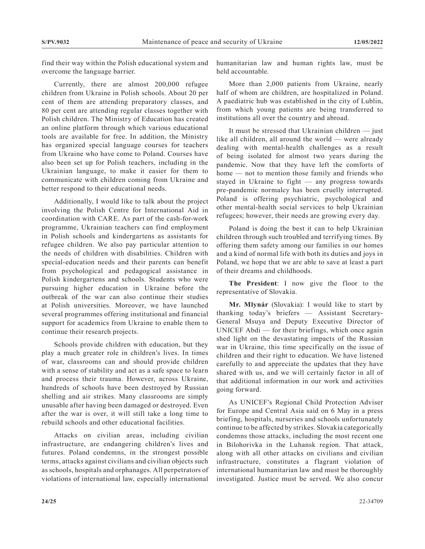find their way within the Polish educational system and overcome the language barrier.

Currently, there are almost 200,000 refugee children from Ukraine in Polish schools. About 20 per cent of them are attending preparatory classes, and 80 per cent are attending regular classes together with Polish children. The Ministry of Education has created an online platform through which various educational tools are available for free. In addition, the Ministry has organized special language courses for teachers from Ukraine who have come to Poland. Courses have also been set up for Polish teachers, including in the Ukrainian language, to make it easier for them to communicate with children coming from Ukraine and better respond to their educational needs.

Additionally, I would like to talk about the project involving the Polish Centre for International Aid in coordination with CARE. As part of the cash-for-work programme, Ukrainian teachers can find employment in Polish schools and kindergartens as assistants for refugee children. We also pay particular attention to the needs of children with disabilities. Children with special-education needs and their parents can benefit from psychological and pedagogical assistance in Polish kindergartens and schools. Students who were pursuing higher education in Ukraine before the outbreak of the war can also continue their studies at Polish universities. Moreover, we have launched several programmes offering institutional and financial support for academics from Ukraine to enable them to continue their research projects.

Schools provide children with education, but they play a much greater role in children's lives. In times of war, classrooms can and should provide children with a sense of stability and act as a safe space to learn and process their trauma. However, across Ukraine, hundreds of schools have been destroyed by Russian shelling and air strikes. Many classrooms are simply unusable after having been damaged or destroyed. Even after the war is over, it will still take a long time to rebuild schools and other educational facilities.

Attacks on civilian areas, including civilian infrastructure, are endangering children's lives and futures. Poland condemns, in the strongest possible terms, attacks against civilians and civilian objects such as schools, hospitals and orphanages. All perpetrators of violations of international law, especially international

humanitarian law and human rights law, must be held accountable.

More than 2,000 patients from Ukraine, nearly half of whom are children, are hospitalized in Poland. A paediatric hub was established in the city of Lublin, from which young patients are being transferred to institutions all over the country and abroad.

It must be stressed that Ukrainian children — just like all children, all around the world — were already dealing with mental-health challenges as a result of being isolated for almost two years during the pandemic. Now that they have left the comforts of home — not to mention those family and friends who stayed in Ukraine to fight — any progress towards pre-pandemic normalcy has been cruelly interrupted. Poland is offering psychiatric, psychological and other mental-health social services to help Ukrainian refugees; however, their needs are growing every day.

Poland is doing the best it can to help Ukrainian children through such troubled and terrifying times. By offering them safety among our families in our homes and a kind of normal life with both its duties and joys in Poland, we hope that we are able to save at least a part of their dreams and childhoods.

**The President**: I now give the floor to the representative of Slovakia.

**Mr. Mlynár** (Slovakia): I would like to start by thanking today's briefers — Assistant Secretary-General Msuya and Deputy Executive Director of UNICEF Abdi — for their briefings, which once again shed light on the devastating impacts of the Russian war in Ukraine, this time specifically on the issue of children and their right to education. We have listened carefully to and appreciate the updates that they have shared with us, and we will certainly factor in all of that additional information in our work and activities going forward.

As UNICEF's Regional Child Protection Adviser for Europe and Central Asia said on 6 May in a press briefing, hospitals, nurseries and schools unfortunately continue to be affected by strikes. Slovakia categorically condemns those attacks, including the most recent one in Bilohorivka in the Luhansk region. That attack, along with all other attacks on civilians and civilian infrastructure, constitutes a flagrant violation of international humanitarian law and must be thoroughly investigated. Justice must be served. We also concur